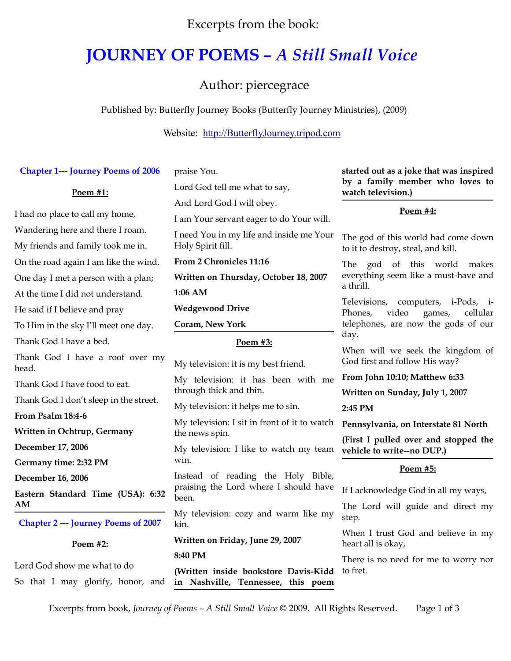Excerpts from the book:

## **JOURNEY OF POEMS** *– A Still Small Voice*

Author: piercegrace

Published by: Butterfly Journey Books (Butterfly Journey Ministries), (2009)

Website: [http://ButterflyJourney.tripod.com](http://ButterflyJourney.tripod.com/)

| <b>Chapter 1--- Journey Poems of 2006</b>                        | praise You.                                                                | started out as a joke that was inspired<br>by a family member who loves to   |
|------------------------------------------------------------------|----------------------------------------------------------------------------|------------------------------------------------------------------------------|
| Poem #1:                                                         | Lord God tell me what to say,                                              | watch television.)                                                           |
| I had no place to call my home,                                  | And Lord God I will obey.                                                  | Poem #4:                                                                     |
| Wandering here and there I roam.                                 | I am Your servant eager to do Your will.                                   |                                                                              |
| My friends and family took me in.                                | I need You in my life and inside me Your<br>Holy Spirit fill.              | The god of this world had come down<br>to it to destroy, steal, and kill.    |
| On the road again I am like the wind.                            | From 2 Chronicles 11:16                                                    | The god of this world<br>makes                                               |
| One day I met a person with a plan;                              | Written on Thursday, October 18, 2007                                      | everything seem like a must-have and                                         |
| At the time I did not understand.                                | 1:06 AM                                                                    | a thrill.                                                                    |
| He said if I believe and pray                                    | <b>Wedgewood Drive</b>                                                     | Televisions, computers, i-Pods, i-<br>video<br>Phones,<br>cellular<br>games, |
| To Him in the sky I'll meet one day.                             | Coram, New York                                                            | telephones, are now the gods of our                                          |
| Thank God I have a bed.                                          | Poem #3:                                                                   | day.                                                                         |
| Thank God I have a roof over my<br>head.                         | My television: it is my best friend.                                       | When will we seek the kingdom of<br>God first and follow His way?            |
| Thank God I have food to eat.                                    | My television: it has been with me                                         | From John 10:10; Matthew 6:33                                                |
| Thank God I don't sleep in the street.                           | through thick and thin.                                                    | Written on Sunday, July 1, 2007                                              |
| From Psalm 18:4-6                                                | My television: it helps me to sin.                                         | 2:45 PM                                                                      |
| Written in Ochtrup, Germany                                      | My television: I sit in front of it to watch<br>the news spin.             | Pennsylvania, on Interstate 81 North                                         |
| December 17, 2006                                                | My television: I like to watch my team                                     | (First I pulled over and stopped the<br>vehicle to write--no DUP.)           |
| Germany time: 2:32 PM                                            | win.                                                                       |                                                                              |
| December 16, 2006                                                | Instead of reading the Holy Bible,                                         | Poem #5:                                                                     |
| Eastern Standard Time (USA): 6:32                                | praising the Lord where I should have<br>been.                             | If I acknowledge God in all my ways,                                         |
| AM                                                               | My television: cozy and warm like my<br>kin.                               | The Lord will guide and direct my                                            |
| <b>Chapter 2 --- Journey Poems of 2007</b>                       |                                                                            | step.                                                                        |
| Poem #2:                                                         | Written on Friday, June 29, 2007                                           | When I trust God and believe in my<br>heart all is okay,                     |
|                                                                  | 8:40 PM                                                                    | There is no need for me to worry nor                                         |
| Lord God show me what to do<br>So that I may glorify, honor, and | (Written inside bookstore Davis-Kidd<br>in Nashville, Tennessee, this poem | to fret.                                                                     |
|                                                                  |                                                                            |                                                                              |

Excerpts from book, *Journey of Poems – A Still Small Voice* © 2009. All Rights Reserved. Page 1 of 3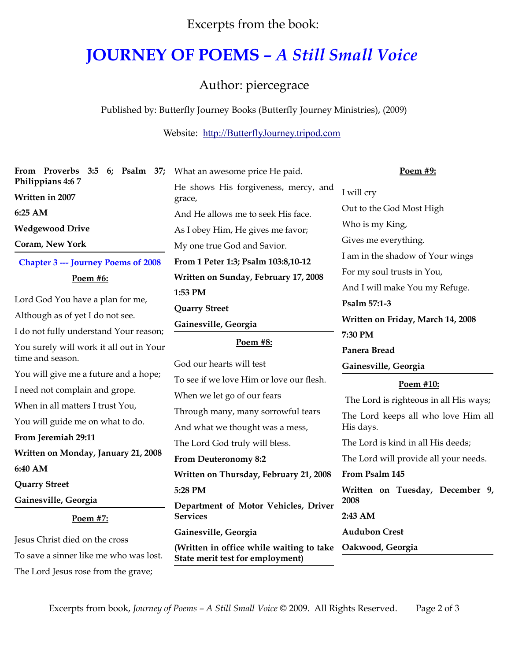Excerpts from the book:

## **JOURNEY OF POEMS** *– A Still Small Voice*

Author: piercegrace

Published by: Butterfly Journey Books (Butterfly Journey Ministries), (2009)

Website: [http://ButterflyJourney.tripod.com](http://ButterflyJourney.tripod.com/)

| From Proverbs 3:5 6; Psalm 37; What an awesome price He paid.            |                                                                                               | Poem #9:                                                |
|--------------------------------------------------------------------------|-----------------------------------------------------------------------------------------------|---------------------------------------------------------|
| Philippians 4:67<br>Written in 2007                                      | He shows His forgiveness, mercy, and<br>grace,                                                | I will cry                                              |
| 6:25 AM                                                                  | And He allows me to seek His face.                                                            | Out to the God Most High                                |
| <b>Wedgewood Drive</b>                                                   | As I obey Him, He gives me favor;                                                             | Who is my King,                                         |
| Coram, New York                                                          | My one true God and Savior.                                                                   | Gives me everything.                                    |
| <b>Chapter 3 --- Journey Poems of 2008</b>                               | From 1 Peter 1:3; Psalm 103:8,10-12                                                           | I am in the shadow of Your wings                        |
| Poem #6:                                                                 | Written on Sunday, February 17, 2008                                                          | For my soul trusts in You,                              |
|                                                                          | 1:53 PM                                                                                       | And I will make You my Refuge.                          |
| Lord God You have a plan for me,                                         | <b>Quarry Street</b>                                                                          | Psalm 57:1-3                                            |
| Although as of yet I do not see.                                         | Gainesville, Georgia                                                                          | Written on Friday, March 14, 2008                       |
| I do not fully understand Your reason;                                   |                                                                                               | 7:30 PM                                                 |
| You surely will work it all out in Your                                  | Poem #8:                                                                                      | Panera Bread                                            |
| time and season.                                                         | God our hearts will test                                                                      | Gainesville, Georgia                                    |
| You will give me a future and a hope;                                    | To see if we love Him or love our flesh.                                                      | Poem #10:                                               |
| I need not complain and grope.                                           | When we let go of our fears                                                                   | The Lord is righteous in all His ways;                  |
|                                                                          |                                                                                               |                                                         |
| When in all matters I trust You,                                         | Through many, many sorrowful tears                                                            |                                                         |
| You will guide me on what to do.                                         | And what we thought was a mess,                                                               | The Lord keeps all who love Him all<br>His days.        |
| From Jeremiah 29:11                                                      |                                                                                               | The Lord is kind in all His deeds;                      |
| Written on Monday, January 21, 2008                                      | The Lord God truly will bless.                                                                |                                                         |
| 6:40 AM                                                                  | <b>From Deuteronomy 8:2</b>                                                                   | The Lord will provide all your needs.<br>From Psalm 145 |
| <b>Quarry Street</b>                                                     | Written on Thursday, February 21, 2008                                                        |                                                         |
| Gainesville, Georgia                                                     | 5:28 PM                                                                                       | Written on Tuesday, December 9,<br>2008                 |
| Poem #7:                                                                 | Department of Motor Vehicles, Driver<br><b>Services</b>                                       | 2:43 AM                                                 |
|                                                                          | Gainesville, Georgia                                                                          | <b>Audubon Crest</b>                                    |
| Jesus Christ died on the cross<br>To save a sinner like me who was lost. | (Written in office while waiting to take Oakwood, Georgia<br>State merit test for employment) |                                                         |